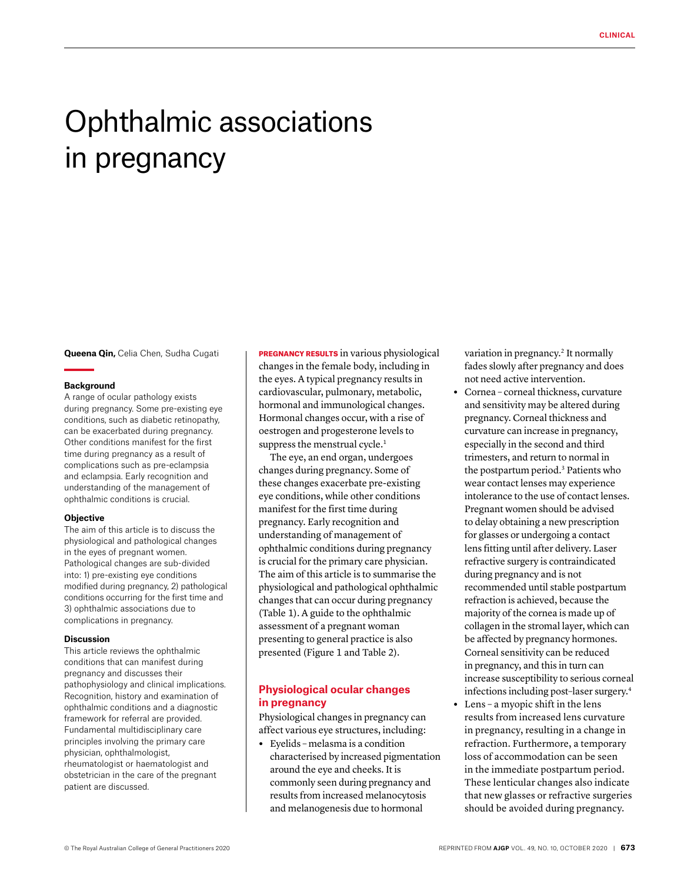# Ophthalmic associations in pregnancy

**Queena Qin,** Celia Chen, Sudha Cugati

#### **Background**

A range of ocular pathology exists during pregnancy. Some pre-existing eye conditions, such as diabetic retinopathy, can be exacerbated during pregnancy. Other conditions manifest for the first time during pregnancy as a result of complications such as pre-eclampsia and eclampsia. Early recognition and understanding of the management of ophthalmic conditions is crucial.

#### **Objective**

The aim of this article is to discuss the physiological and pathological changes in the eyes of pregnant women. Pathological changes are sub-divided into: 1) pre-existing eye conditions modified during pregnancy, 2) pathological conditions occurring for the first time and 3) ophthalmic associations due to complications in pregnancy.

#### **Discussion**

This article reviews the ophthalmic conditions that can manifest during pregnancy and discusses their pathophysiology and clinical implications. Recognition, history and examination of ophthalmic conditions and a diagnostic framework for referral are provided. Fundamental multidisciplinary care principles involving the primary care physician, ophthalmologist, rheumatologist or haematologist and obstetrician in the care of the pregnant patient are discussed.

PREGNANCY RESULTS in various physiological changes in the female body, including in the eyes. A typical pregnancy results in cardiovascular, pulmonary, metabolic, hormonal and immunological changes. Hormonal changes occur, with a rise of oestrogen and progesterone levels to suppress the menstrual cycle.<sup>1</sup>

The eye, an end organ, undergoes changes during pregnancy. Some of these changes exacerbate pre-existing eye conditions, while other conditions manifest for the first time during pregnancy. Early recognition and understanding of management of ophthalmic conditions during pregnancy is crucial for the primary care physician. The aim of this article is to summarise the physiological and pathological ophthalmic changes that can occur during pregnancy (Table 1). A guide to the ophthalmic assessment of a pregnant woman presenting to general practice is also presented (Figure 1 and Table 2).

# **Physiological ocular changes in pregnancy**

Physiological changes in pregnancy can affect various eye structures, including:

**•** Eyelids – melasma is a condition characterised by increased pigmentation around the eye and cheeks. It is commonly seen during pregnancy and results from increased melanocytosis and melanogenesis due to hormonal

variation in pregnancy.<sup>2</sup> It normally fades slowly after pregnancy and does not need active intervention.

- **•** Cornea corneal thickness, curvature and sensitivity may be altered during pregnancy. Corneal thickness and curvature can increase in pregnancy, especially in the second and third trimesters, and return to normal in the postpartum period.3 Patients who wear contact lenses may experience intolerance to the use of contact lenses. Pregnant women should be advised to delay obtaining a new prescription for glasses or undergoing a contact lens fitting until after delivery. Laser refractive surgery is contraindicated during pregnancy and is not recommended until stable postpartum refraction is achieved, because the majority of the cornea is made up of collagen in the stromal layer, which can be affected by pregnancy hormones. Corneal sensitivity can be reduced in pregnancy, and this in turn can increase susceptibility to serious corneal infections including post–laser surgery.4
- **•** Lens a myopic shift in the lens results from increased lens curvature in pregnancy, resulting in a change in refraction. Furthermore, a temporary loss of accommodation can be seen in the immediate postpartum period. These lenticular changes also indicate that new glasses or refractive surgeries should be avoided during pregnancy.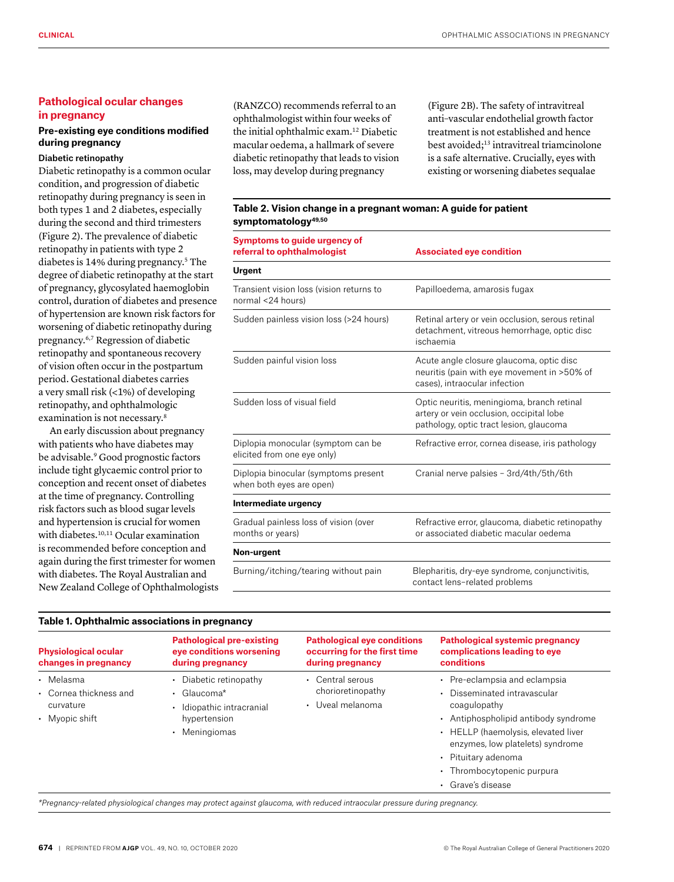# **Pathological ocular changes in pregnancy**

# **Pre-existing eye conditions modified during pregnancy**

## Diabetic retinopathy

Diabetic retinopathy is a common ocular condition, and progression of diabetic retinopathy during pregnancy is seen in both types 1 and 2 diabetes, especially during the second and third trimesters (Figure 2). The prevalence of diabetic retinopathy in patients with type 2 diabetes is 14% during pregnancy.5 The degree of diabetic retinopathy at the start of pregnancy, glycosylated haemoglobin control, duration of diabetes and presence of hypertension are known risk factors for worsening of diabetic retinopathy during pregnancy.6,7 Regression of diabetic retinopathy and spontaneous recovery of vision often occur in the postpartum period. Gestational diabetes carries a very small risk (<1%) of developing retinopathy, and ophthalmologic examination is not necessary.8

An early discussion about pregnancy with patients who have diabetes may be advisable.<sup>9</sup> Good prognostic factors include tight glycaemic control prior to conception and recent onset of diabetes at the time of pregnancy. Controlling risk factors such as blood sugar levels and hypertension is crucial for women with diabetes.<sup>10,11</sup> Ocular examination is recommended before conception and again during the first trimester for women with diabetes. The Royal Australian and New Zealand College of Ophthalmologists

**Table 1. Ophthalmic associations in pregnancy**

(RANZCO) recommends referral to an ophthalmologist within four weeks of the initial ophthalmic exam.12 Diabetic macular oedema, a hallmark of severe diabetic retinopathy that leads to vision loss, may develop during pregnancy

(Figure 2B). The safety of intravitreal anti–vascular endothelial growth factor treatment is not established and hence best avoided;13 intravitreal triamcinolone is a safe alternative. Crucially, eyes with existing or worsening diabetes sequalae

## **Table 2. Vision change in a pregnant woman: A guide for patient symptomatology49,50**

| <b>Symptoms to guide urgency of</b><br>referral to ophthalmologist | <b>Associated eye condition</b>                                                                                                   |  |
|--------------------------------------------------------------------|-----------------------------------------------------------------------------------------------------------------------------------|--|
| <b>Urgent</b>                                                      |                                                                                                                                   |  |
| Transient vision loss (vision returns to<br>normal <24 hours)      | Papilloedema, amarosis fugax                                                                                                      |  |
| Sudden painless vision loss (>24 hours)                            | Retinal artery or vein occlusion, serous retinal<br>detachment, vitreous hemorrhage, optic disc<br>ischaemia                      |  |
| Sudden painful vision loss                                         | Acute angle closure glaucoma, optic disc<br>neuritis (pain with eye movement in >50% of<br>cases), intraocular infection          |  |
| Sudden loss of visual field                                        | Optic neuritis, meningioma, branch retinal<br>artery or vein occlusion, occipital lobe<br>pathology, optic tract lesion, glaucoma |  |
| Diplopia monocular (symptom can be<br>elicited from one eye only)  | Refractive error, cornea disease, iris pathology                                                                                  |  |
| Diplopia binocular (symptoms present<br>when both eyes are open)   | Cranial nerve palsies - 3rd/4th/5th/6th                                                                                           |  |
| Intermediate urgency                                               |                                                                                                                                   |  |
| Gradual painless loss of vision (over<br>months or years)          | Refractive error, glaucoma, diabetic retinopathy<br>or associated diabetic macular oedema                                         |  |
| Non-urgent                                                         |                                                                                                                                   |  |
| Burning/itching/tearing without pain                               | Blepharitis, dry-eye syndrome, conjunctivitis,<br>contact lens-related problems                                                   |  |

| <b>Physiological ocular</b><br>changes in pregnancy                | <b>Pathological pre-existing</b><br>eye conditions worsening<br>during pregnancy                                    | <b>Pathological eye conditions</b><br>occurring for the first time<br>during pregnancy | Pathological systemic pregnancy<br>complications leading to eye<br>conditions                                                                                                                                                                                              |
|--------------------------------------------------------------------|---------------------------------------------------------------------------------------------------------------------|----------------------------------------------------------------------------------------|----------------------------------------------------------------------------------------------------------------------------------------------------------------------------------------------------------------------------------------------------------------------------|
| • Melasma<br>• Cornea thickness and<br>curvature<br>• Myopic shift | • Diabetic retinopathy<br>$\cdot$ Glaucoma <sup>*</sup><br>Idiopathic intracranial<br>hypertension<br>• Meningiomas | Central serous<br>٠<br>chorioretinopathy<br>Uveal melanoma<br>$\bullet$                | • Pre-eclampsia and eclampsia<br>• Disseminated intravascular<br>coagulopathy<br>• Antiphospholipid antibody syndrome<br>• HELLP (haemolysis, elevated liver<br>enzymes, low platelets) syndrome<br>• Pituitary adenoma<br>• Thrombocytopenic purpura<br>• Grave's disease |

*\*Pregnancy-related physiological changes may protect against glaucoma, with reduced intraocular pressure during pregnancy.*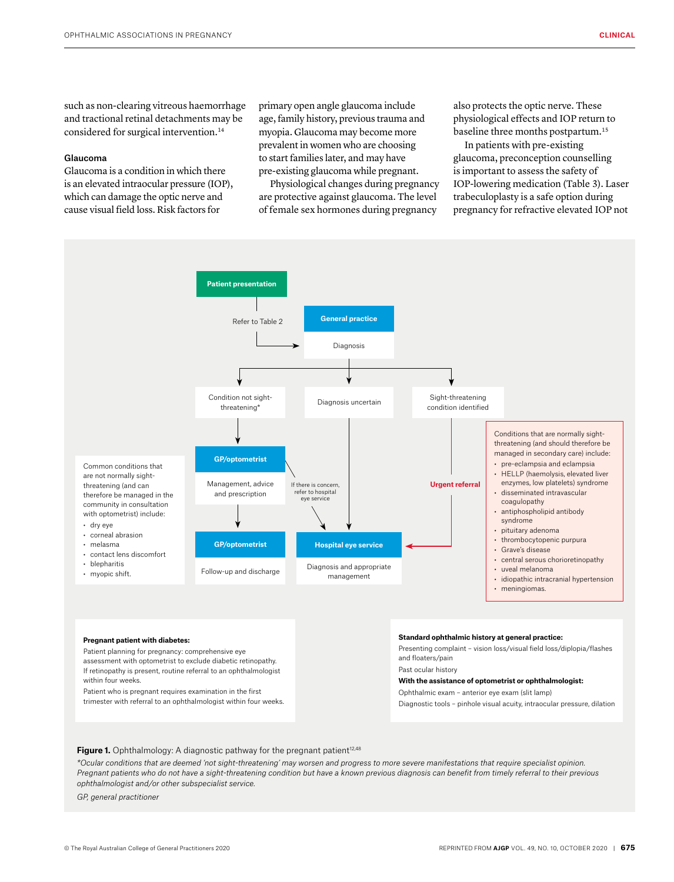such as non-clearing vitreous haemorrhage and tractional retinal detachments may be considered for surgical intervention.<sup>14</sup>

#### Glaucoma

Glaucoma is a condition in which there is an elevated intraocular pressure (IOP), which can damage the optic nerve and cause visual field loss. Risk factors for

primary open angle glaucoma include age, family history, previous trauma and myopia. Glaucoma may become more prevalent in women who are choosing to start families later, and may have pre-existing glaucoma while pregnant.

Physiological changes during pregnancy are protective against glaucoma. The level of female sex hormones during pregnancy

also protects the optic nerve. These physiological effects and IOP return to baseline three months postpartum.<sup>15</sup>

In patients with pre-existing glaucoma, preconception counselling is important to assess the safety of IOP-lowering medication (Table 3). Laser trabeculoplasty is a safe option during pregnancy for refractive elevated IOP not



#### **Pregnant patient with diabetes:**

Patient planning for pregnancy: comprehensive eye assessment with optometrist to exclude diabetic retinopathy. If retinopathy is present, routine referral to an ophthalmologist within four weeks.

Patient who is pregnant requires examination in the first trimester with referral to an ophthalmologist within four weeks.

#### **Standard ophthalmic history at general practice:**

Presenting complaint – vision loss/visual field loss/diplopia/flashes and floaters/pain

Past ocular history

#### **With the assistance of optometrist or ophthalmologist:**

Ophthalmic exam – anterior eye exam (slit lamp)

Diagnostic tools – pinhole visual acuity, intraocular pressure, dilation

Figure 1. Ophthalmology: A diagnostic pathway for the pregnant patient<sup>12,48</sup>

*\*Ocular conditions that are deemed 'not sight-threatening' may worsen and progress to more severe manifestations that require specialist opinion. Pregnant patients who do not have a sight-threatening condition but have a known previous diagnosis can benefit from timely referral to their previous ophthalmologist and/or other subspecialist service.*

*GP, general practitioner*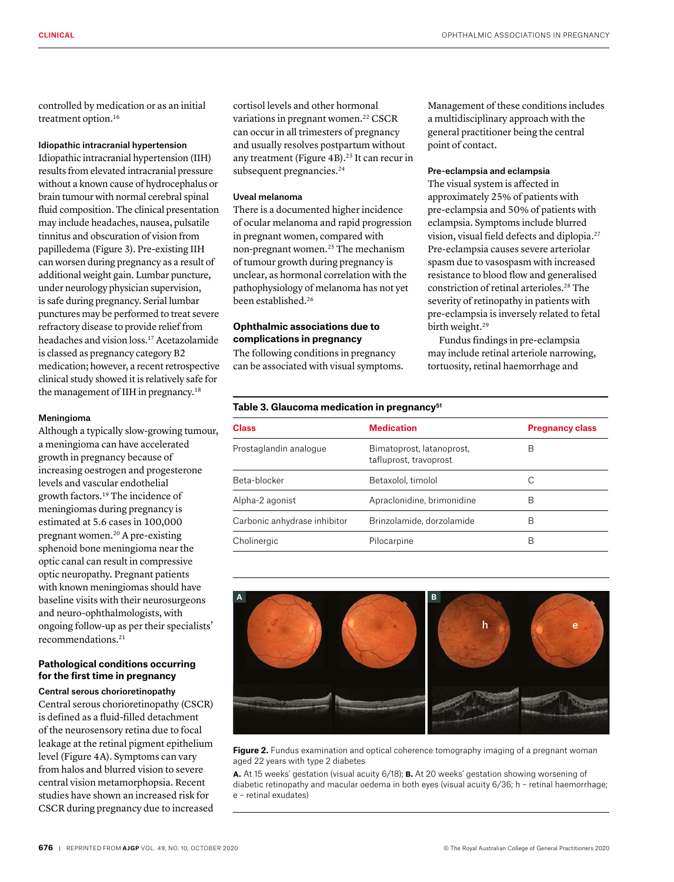controlled by medication or as an initial treatment option.<sup>16</sup>

# Idiopathic intracranial hypertension

Idiopathic intracranial hypertension (IIH) results from elevated intracranial pressure without a known cause of hydrocephalus or brain tumour with normal cerebral spinal fluid composition. The clinical presentation may include headaches, nausea, pulsatile tinnitus and obscuration of vision from papilledema (Figure 3). Pre-existing IIH can worsen during pregnancy as a result of additional weight gain. Lumbar puncture, under neurology physician supervision, is safe during pregnancy. Serial lumbar punctures may be performed to treat severe refractory disease to provide relief from headaches and vision loss.17 Acetazolamide is classed as pregnancy category B2 medication; however, a recent retrospective clinical study showed it is relatively safe for the management of IIH in pregnancy.<sup>18</sup>

# Meningioma

Although a typically slow-growing tumour, a meningioma can have accelerated growth in pregnancy because of increasing oestrogen and progesterone levels and vascular endothelial growth factors.19 The incidence of meningiomas during pregnancy is estimated at 5.6 cases in 100,000 pregnant women.20 A pre-existing sphenoid bone meningioma near the optic canal can result in compressive optic neuropathy. Pregnant patients with known meningiomas should have baseline visits with their neurosurgeons and neuro-ophthalmologists, with ongoing follow-up as per their specialists' recommendations.21

# **Pathological conditions occurring for the first time in pregnancy**

Central serous chorioretinopathy Central serous chorioretinopathy (CSCR) is defined as a fluid-filled detachment of the neurosensory retina due to focal leakage at the retinal pigment epithelium level (Figure 4A). Symptoms can vary from halos and blurred vision to severe central vision metamorphopsia. Recent studies have shown an increased risk for CSCR during pregnancy due to increased

cortisol levels and other hormonal variations in pregnant women.<sup>22</sup> CSCR can occur in all trimesters of pregnancy and usually resolves postpartum without any treatment (Figure 4B).<sup>23</sup> It can recur in subsequent pregnancies.<sup>24</sup>

#### Uveal melanoma

There is a documented higher incidence of ocular melanoma and rapid progression in pregnant women, compared with non-pregnant women.25 The mechanism of tumour growth during pregnancy is unclear, as hormonal correlation with the pathophysiology of melanoma has not yet been established.26

# **Ophthalmic associations due to complications in pregnancy**

The following conditions in pregnancy can be associated with visual symptoms.

Management of these conditions includes a multidisciplinary approach with the general practitioner being the central point of contact.

## Pre-eclampsia and eclampsia

The visual system is affected in approximately 25% of patients with pre-eclampsia and 50% of patients with eclampsia. Symptoms include blurred vision, visual field defects and diplopia.27 Pre-eclampsia causes severe arteriolar spasm due to vasospasm with increased resistance to blood flow and generalised constriction of retinal arterioles.28 The severity of retinopathy in patients with pre-eclampsia is inversely related to fetal birth weight.<sup>29</sup>

Fundus findings in pre-eclampsia may include retinal arteriole narrowing, tortuosity, retinal haemorrhage and

| Table 3. Glaucoma medication in pregnancy <sup>51</sup> |                                                     |                        |  |
|---------------------------------------------------------|-----------------------------------------------------|------------------------|--|
| Class                                                   | <b>Medication</b>                                   | <b>Pregnancy class</b> |  |
| Prostaglandin analogue                                  | Bimatoprost, latanoprost,<br>tafluprost, travoprost | В                      |  |
| Beta-blocker                                            | Betaxolol, timolol                                  | С                      |  |
| Alpha-2 agonist                                         | Apraclonidine, brimonidine                          | В                      |  |
| Carbonic anhydrase inhibitor                            | Brinzolamide, dorzolamide                           | B                      |  |
| Cholinergic                                             | Pilocarpine                                         | В                      |  |



**Figure 2.** Fundus examination and optical coherence tomography imaging of a pregnant woman aged 22 years with type 2 diabetes

**a.** At 15 weeks' gestation (visual acuity 6/18); **b.** At 20 weeks' gestation showing worsening of diabetic retinopathy and macular oedema in both eyes (visual acuity 6/36; h – retinal haemorrhage; e – retinal exudates)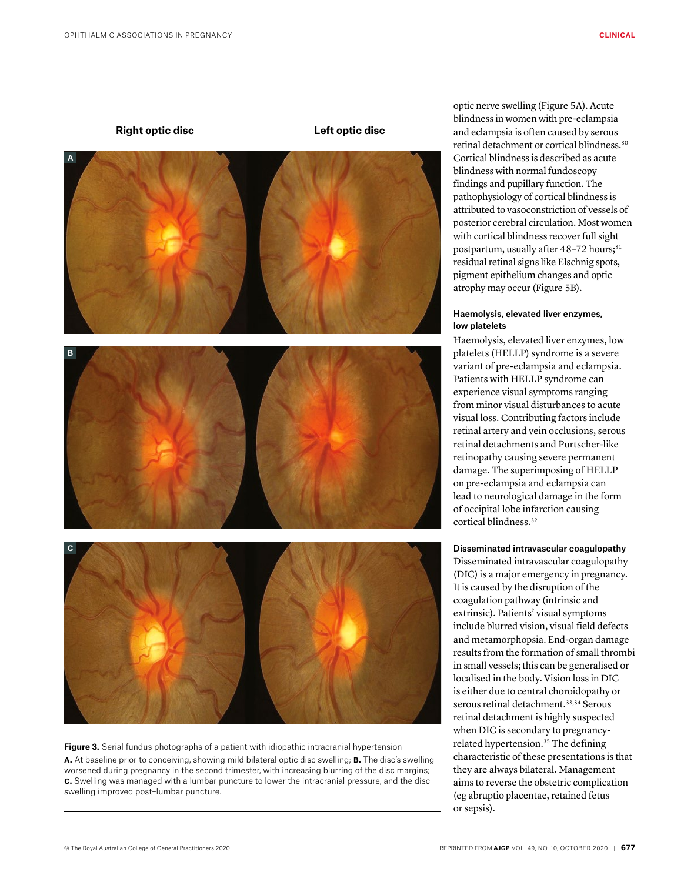#### **Right optic disc Left optic disc**



**Figure 3.** Serial fundus photographs of a patient with idiopathic intracranial hypertension **a.** At baseline prior to conceiving, showing mild bilateral optic disc swelling; **b.** The disc's swelling worsened during pregnancy in the second trimester, with increasing blurring of the disc margins; **c.** Swelling was managed with a lumbar puncture to lower the intracranial pressure, and the disc swelling improved post–lumbar puncture.

optic nerve swelling (Figure 5A). Acute blindness in women with pre-eclampsia and eclampsia is often caused by serous retinal detachment or cortical blindness.30 Cortical blindness is described as acute blindness with normal fundoscopy findings and pupillary function. The pathophysiology of cortical blindness is attributed to vasoconstriction of vessels of posterior cerebral circulation. Most women with cortical blindness recover full sight postpartum, usually after 48-72 hours;<sup>31</sup> residual retinal signs like Elschnig spots, pigment epithelium changes and optic atrophy may occur (Figure 5B).

## Haemolysis, elevated liver enzymes, low platelets

Haemolysis, elevated liver enzymes, low platelets (HELLP) syndrome is a severe variant of pre-eclampsia and eclampsia. Patients with HELLP syndrome can experience visual symptoms ranging from minor visual disturbances to acute visual loss. Contributing factors include retinal artery and vein occlusions, serous retinal detachments and Purtscher-like retinopathy causing severe permanent damage. The superimposing of HELLP on pre-eclampsia and eclampsia can lead to neurological damage in the form of occipital lobe infarction causing cortical blindness.32

#### Disseminated intravascular coagulopathy

Disseminated intravascular coagulopathy (DIC) is a major emergency in pregnancy. It is caused by the disruption of the coagulation pathway (intrinsic and extrinsic). Patients' visual symptoms include blurred vision, visual field defects and metamorphopsia. End-organ damage results from the formation of small thrombi in small vessels; this can be generalised or localised in the body. Vision loss in DIC is either due to central choroidopathy or serous retinal detachment.<sup>33,34</sup> Serous retinal detachment is highly suspected when DIC is secondary to pregnancyrelated hypertension.<sup>35</sup> The defining characteristic of these presentations is that they are always bilateral. Management aims to reverse the obstetric complication (eg abruptio placentae, retained fetus or sepsis).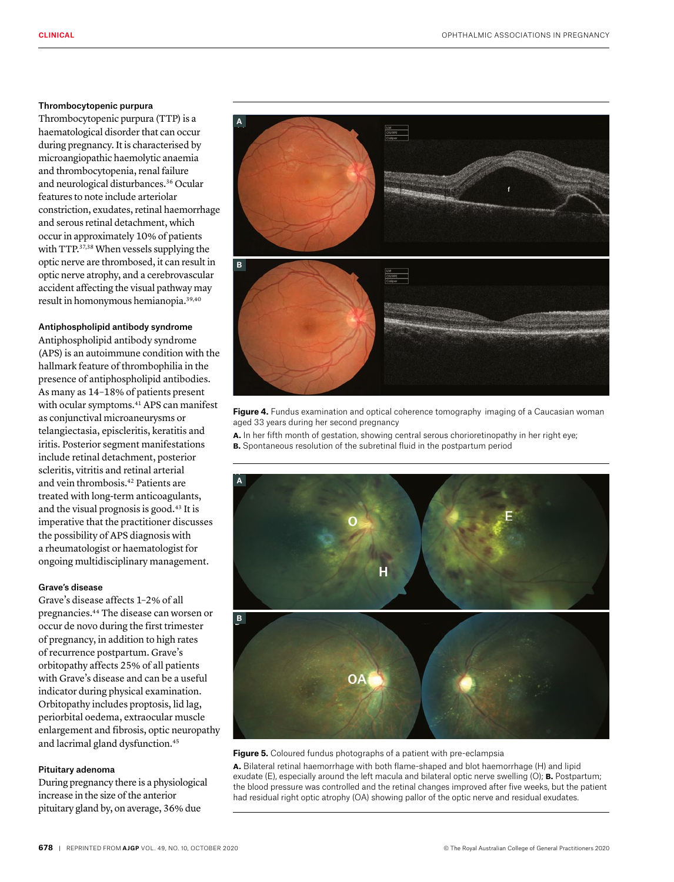#### Thrombocytopenic purpura

Thrombocytopenic purpura (TTP) is a haematological disorder that can occur during pregnancy. It is characterised by microangiopathic haemolytic anaemia and thrombocytopenia, renal failure and neurological disturbances.36 Ocular features to note include arteriolar constriction, exudates, retinal haemorrhage and serous retinal detachment, which occur in approximately 10% of patients with TTP.<sup>37,38</sup> When vessels supplying the optic nerve are thrombosed, it can result in optic nerve atrophy, and a cerebrovascular accident affecting the visual pathway may result in homonymous hemianopia.39,40

## Antiphospholipid antibody syndrome

Antiphospholipid antibody syndrome (APS) is an autoimmune condition with the hallmark feature of thrombophilia in the presence of antiphospholipid antibodies. As many as 14–18% of patients present with ocular symptoms.<sup>41</sup> APS can manifest as conjunctival microaneurysms or telangiectasia, episcleritis, keratitis and iritis. Posterior segment manifestations include retinal detachment, posterior scleritis, vitritis and retinal arterial and vein thrombosis.42 Patients are treated with long-term anticoagulants, and the visual prognosis is good.<sup>43</sup> It is imperative that the practitioner discusses the possibility of APS diagnosis with a rheumatologist or haematologist for ongoing multidisciplinary management.

## Grave's disease

Grave's disease affects 1–2% of all pregnancies.44 The disease can worsen or occur de novo during the first trimester of pregnancy, in addition to high rates of recurrence postpartum. Grave's orbitopathy affects 25% of all patients with Grave's disease and can be a useful indicator during physical examination. Orbitopathy includes proptosis, lid lag, periorbital oedema, extraocular muscle enlargement and fibrosis, optic neuropathy and lacrimal gland dysfunction.<sup>45</sup>

#### Pituitary adenoma

During pregnancy there is a physiological increase in the size of the anterior pituitary gland by, on average, 36% due



**Figure 4.** Fundus examination and optical coherence tomography imaging of a Caucasian woman aged 33 years during her second pregnancy

**a.** In her fifth month of gestation, showing central serous chorioretinopathy in her right eye; **b.** Spontaneous resolution of the subretinal fluid in the postpartum period



**Figure 5.** Coloured fundus photographs of a patient with pre-eclampsia

**a.** Bilateral retinal haemorrhage with both flame-shaped and blot haemorrhage (H) and lipid exudate (E), especially around the left macula and bilateral optic nerve swelling (O); **b.** Postpartum; the blood pressure was controlled and the retinal changes improved after five weeks, but the patient had residual right optic atrophy (OA) showing pallor of the optic nerve and residual exudates.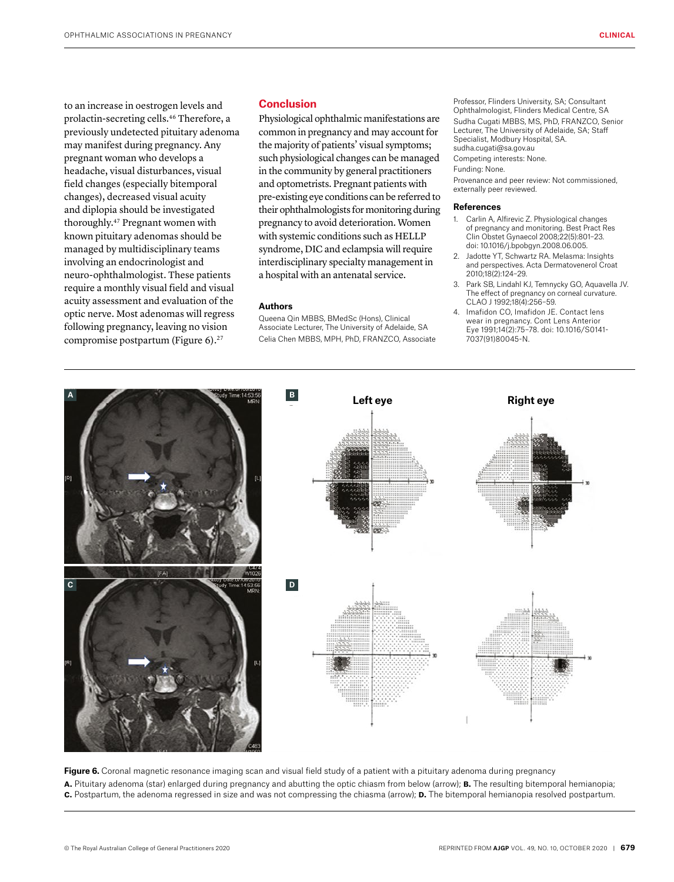to an increase in oestrogen levels and prolactin-secreting cells.46 Therefore, a previously undetected pituitary adenoma may manifest during pregnancy. Any pregnant woman who develops a headache, visual disturbances, visual field changes (especially bitemporal changes), decreased visual acuity and diplopia should be investigated thoroughly.47 Pregnant women with known pituitary adenomas should be managed by multidisciplinary teams involving an endocrinologist and neuro-ophthalmologist. These patients require a monthly visual field and visual acuity assessment and evaluation of the optic nerve. Most adenomas will regress following pregnancy, leaving no vision compromise postpartum (Figure 6).<sup>27</sup>

**A**

# **Conclusion**

Physiological ophthalmic manifestations are common in pregnancy and may account for the majority of patients' visual symptoms; such physiological changes can be managed in the community by general practitioners and optometrists. Pregnant patients with pre-existing eye conditions can be referred to their ophthalmologists for monitoring during pregnancy to avoid deterioration. Women with systemic conditions such as HELLP syndrome, DIC and eclampsia will require interdisciplinary specialty management in a hospital with an antenatal service.

#### **Authors**

Queena Qin MBBS, BMedSc (Hons), Clinical Associate Lecturer, The University of Adelaide, SA Celia Chen MBBS, MPH, PhD, FRANZCO, Associate

**B Left eye Right eye** 

Professor, Flinders University, SA; Consultant Ophthalmologist, Flinders Medical Centre, SA Sudha Cugati MBBS, MS, PhD, FRANZCO, Senior Lecturer, The University of Adelaide, SA; Staff Specialist, Modbury Hospital, SA. sudha.cugati@sa.gov.au Competing interests: None. Funding: None. Provenance and peer review: Not commissioned, externally peer reviewed.

#### **References**

- 1. Carlin A, Alfirevic Z. Physiological changes of pregnancy and monitoring. Best Pract Res Clin Obstet Gynaecol 2008;22(5):801–23. doi: 10.1016/j.bpobgyn.2008.06.005.
- 2. Jadotte YT, Schwartz RA. Melasma: Insights and perspectives. Acta Dermatovenerol Croat 2010;18(2):124–29.
- 3. Park SB, Lindahl KJ, Temnycky GO, Aquavella JV. The effect of pregnancy on corneal curvature. CLAO J 1992;18(4):256–59.
- 4. Imafidon CO, Imafidon JE. Contact lens wear in pregnancy. Cont Lens Anterior Eye 1991;14(2):75–78. doi: 10.1016/S0141- 7037(91)80045-N.



Figure 6. Coronal magnetic resonance imaging scan and visual field study of a patient with a pituitary adenoma during pregnancy **a.** Pituitary adenoma (star) enlarged during pregnancy and abutting the optic chiasm from below (arrow); **b.** The resulting bitemporal hemianopia; **c.** Postpartum, the adenoma regressed in size and was not compressing the chiasma (arrow); **d.** The bitemporal hemianopia resolved postpartum.